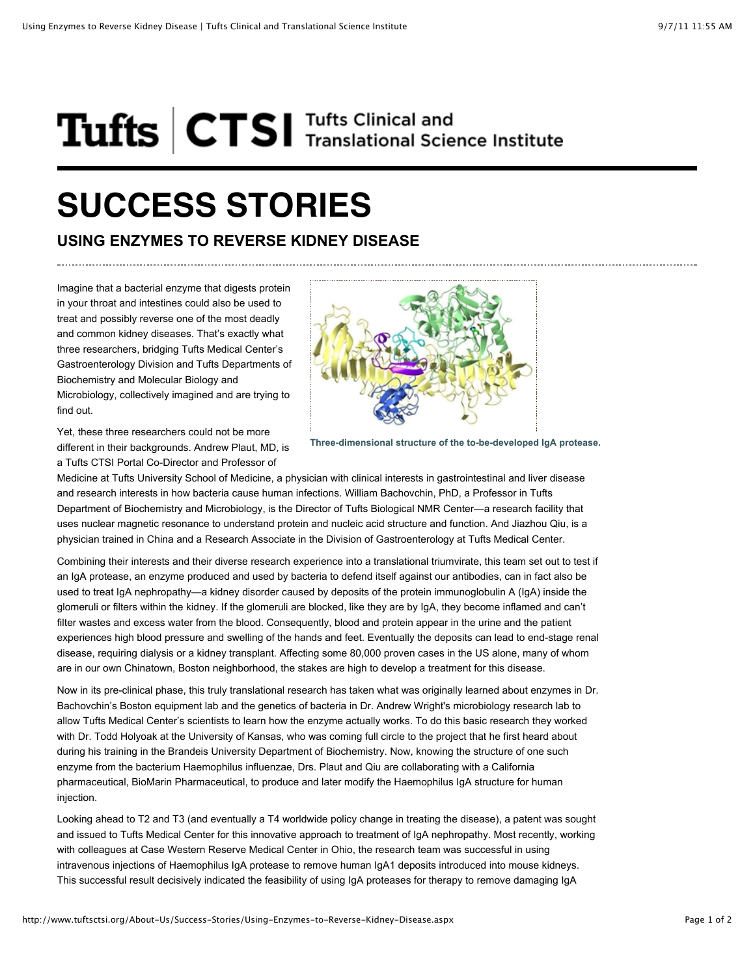## Tufts **CTSI** Tufts Clinical and

## **SUCCESS STORIES**

## **USING ENZYMES TO REVERSE KIDNEY DISEASE**

Imagine that a bacterial enzyme that digests protein in your throat and intestines could also be used to treat and possibly reverse one of the most deadly and common kidney diseases. That's exactly what three researchers, bridging Tufts Medical Center's Gastroenterology Division and Tufts Departments of Biochemistry and Molecular Biology and Microbiology, collectively imagined and are trying to find out.

Yet, these three researchers could not be more different in their backgrounds. Andrew Plaut, MD, is a Tufts CTSI Portal Co-Director and Professor of

**Three-dimensional structure of the to-be-developed IgA protease.**

Medicine at Tufts University School of Medicine, a physician with clinical interests in gastrointestinal and liver disease and research interests in how bacteria cause human infections. William Bachovchin, PhD, a Professor in Tufts Department of Biochemistry and Microbiology, is the Director of Tufts Biological NMR Center—a research facility that uses nuclear magnetic resonance to understand protein and nucleic acid structure and function. And Jiazhou Qiu, is a physician trained in China and a Research Associate in the Division of Gastroenterology at Tufts Medical Center.

Combining their interests and their diverse research experience into a translational triumvirate, this team set out to test if an IgA protease, an enzyme produced and used by bacteria to defend itself against our antibodies, can in fact also be used to treat IgA nephropathy—a kidney disorder caused by deposits of the protein immunoglobulin A (IgA) inside the glomeruli or filters within the kidney. If the glomeruli are blocked, like they are by IgA, they become inflamed and can't filter wastes and excess water from the blood. Consequently, blood and protein appear in the urine and the patient experiences high blood pressure and swelling of the hands and feet. Eventually the deposits can lead to end-stage renal disease, requiring dialysis or a kidney transplant. Affecting some 80,000 proven cases in the US alone, many of whom are in our own Chinatown, Boston neighborhood, the stakes are high to develop a treatment for this disease.

Now in its pre-clinical phase, this truly translational research has taken what was originally learned about enzymes in Dr. Bachovchin's Boston equipment lab and the genetics of bacteria in Dr. Andrew Wright's microbiology research lab to allow Tufts Medical Center's scientists to learn how the enzyme actually works. To do this basic research they worked with Dr. Todd Holyoak at the University of Kansas, who was coming full circle to the project that he first heard about during his training in the Brandeis University Department of Biochemistry. Now, knowing the structure of one such enzyme from the bacterium Haemophilus influenzae, Drs. Plaut and Qiu are collaborating with a California pharmaceutical, BioMarin Pharmaceutical, to produce and later modify the Haemophilus IgA structure for human injection.

Looking ahead to T2 and T3 (and eventually a T4 worldwide policy change in treating the disease), a patent was sought and issued to Tufts Medical Center for this innovative approach to treatment of IgA nephropathy. Most recently, working with colleagues at Case Western Reserve Medical Center in Ohio, the research team was successful in using intravenous injections of Haemophilus IgA protease to remove human IgA1 deposits introduced into mouse kidneys. This successful result decisively indicated the feasibility of using IgA proteases for therapy to remove damaging IgA